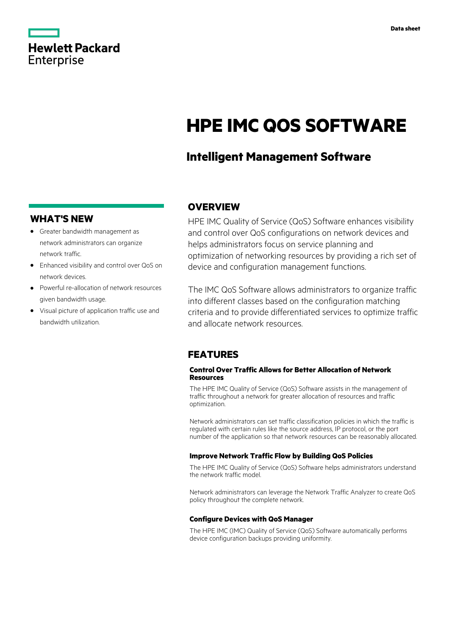

# **HPE IMC QOS SOFTWARE**

# **Intelligent Management Software**

## **WHAT'S NEW**

- **·** Greater bandwidth management as network administrators can organize network traffic.
- **·** Enhanced visibility and control over QoS on network devices.
- **·** Powerful re-allocation of network resources given bandwidth usage.
- **·** Visual picture of application traffic use and bandwidth utilization.

## **OVERVIEW**

HPE IMC Quality of Service (QoS) Software enhances visibility and control over QoS configurations on network devices and helps administrators focus on service planning and optimization of networking resources by providing a rich set of device and configuration management functions.

The IMC QoS Software allows administrators to organize traffic into different classes based on the configuration matching criteria and to provide differentiated services to optimize traffic and allocate network resources.

### **FEATURES**

#### **Control Over Traffic Allows for Better Allocation of Network Resources**

The HPE IMC Quality of Service (QoS) Software assists in the management of traffic throughout a network for greater allocation of resources and traffic optimization.

Network administrators can set traffic classification policies in which the traffic is regulated with certain rules like the source address, IP protocol, or the port number of the application so that network resources can be reasonably allocated.

#### **Improve Network Traffic Flow by Building QoS Policies**

The HPE IMC Quality of Service (QoS) Software helps administrators understand the network traffic model.

Network administrators can leverage the Network Traffic Analyzer to create QoS policy throughout the complete network.

#### **Configure Devices with QoS Manager**

The HPE IMC (IMC) Quality of Service (QoS) Software automatically performs device configuration backups providing uniformity.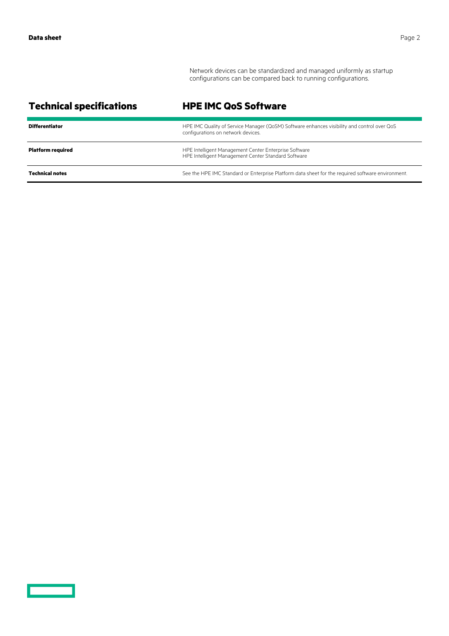<u>a sa sainte an am Baile an S</u>

Network devices can be standardized and managed uniformly as startup configurations can be compared back to running configurations.

| <b>Technical specifications</b> | <b>HPE IMC QoS Software</b>                                                                                                       |
|---------------------------------|-----------------------------------------------------------------------------------------------------------------------------------|
| <b>Differentiator</b>           | HPE IMC Quality of Service Manager (QoSM) Software enhances visibility and control over QoS<br>configurations on network devices. |
| <b>Platform required</b>        | HPE Intelligent Management Center Enterprise Software<br>HPE Intelligent Management Center Standard Software                      |
| <b>Technical notes</b>          | See the HPE IMC Standard or Enterprise Platform data sheet for the required software environment.                                 |